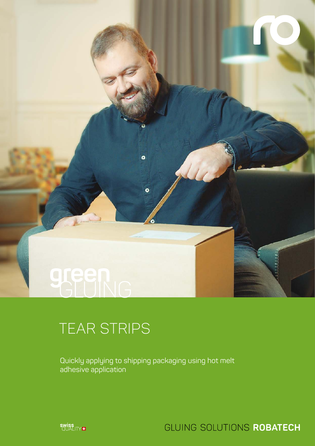

# TEAR STRIPS

Quickly applying to shipping packaging using hot melt adhesive application

 $\bullet$ 

 $\bullet$ 



GLUING SOLUTIONS ROBATECH

 $11111$